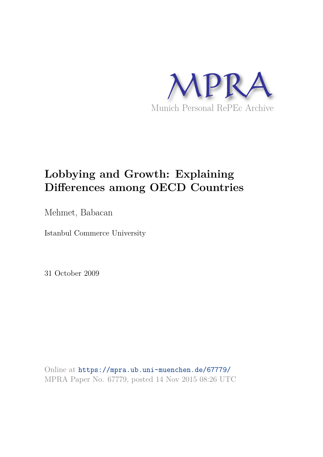

# **Lobbying and Growth: Explaining Differences among OECD Countries**

Mehmet, Babacan

Istanbul Commerce University

31 October 2009

Online at https://mpra.ub.uni-muenchen.de/67779/ MPRA Paper No. 67779, posted 14 Nov 2015 08:26 UTC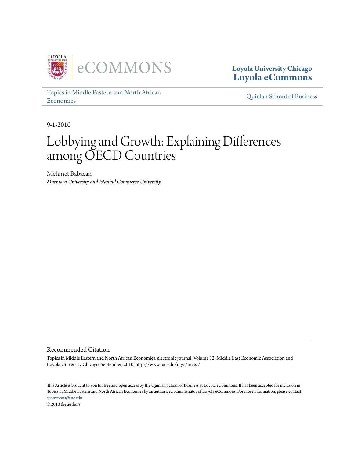

**Loyola University Chicago Loyola eCommons**

Topics in Middle Eastern and North African Economies Quinlan School of Business

9-1-2010

# Lobbying and Growth: Explaining Differences among OECD Countries

Mehmet Babacan *Marmara University and Istanbul Commerce University*

Recommended Citation

Topics in Middle Eastern and North African Economies, electronic journal, Volume 12, Middle East Economic Association and Loyola University Chicago, September, 2010, http://www.luc.edu/orgs/meea/

This Article is brought to you for free and open access by the Quinlan School of Business at Loyola eCommons. It has been accepted for inclusion in Topics in Middle Eastern and North African Economies by an authorized administrator of Loyola eCommons. For more information, please contact ecommons@luc.edu. © 2010 the authors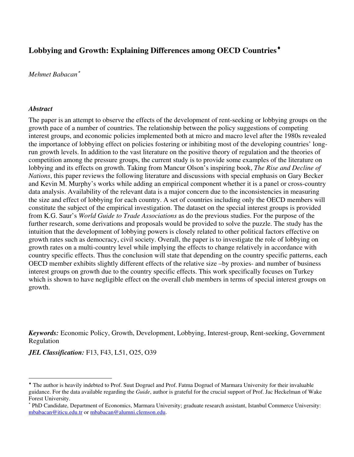# **Lobbying and Growth: Explaining Differences among OECD Countries**[♦](#page-2-0)

#### *Mehmet Babacan*[∗](#page-2-1)

#### *Abstract*

 $\overline{a}$ 

The paper is an attempt to observe the effects of the development of rent-seeking or lobbying groups on the growth pace of a number of countries. The relationship between the policy suggestions of competing interest groups, and economic policies implemented both at micro and macro level after the 1980s revealed the importance of lobbying effect on policies fostering or inhibiting most of the developing countries' longrun growth levels. In addition to the vast literature on the positive theory of regulation and the theories of competition among the pressure groups, the current study is to provide some examples of the literature on lobbying and its effects on growth. Taking from Mancur Olson's inspiring book, *The Rise and Decline of Nations*, this paper reviews the following literature and discussions with special emphasis on Gary Becker and Kevin M. Murphy's works while adding an empirical component whether it is a panel or cross-country data analysis. Availability of the relevant data is a major concern due to the inconsistencies in measuring the size and effect of lobbying for each country. A set of countries including only the OECD members will constitute the subject of the empirical investigation. The dataset on the special interest groups is provided from K.G. Saur's *World Guide to Trade Associations* as do the previous studies. For the purpose of the further research, some derivations and proposals would be provided to solve the puzzle. The study has the intuition that the development of lobbying powers is closely related to other political factors effective on growth rates such as democracy, civil society. Overall, the paper is to investigate the role of lobbying on growth rates on a multi-country level while implying the effects to change relatively in accordance with country specific effects. Thus the conclusion will state that depending on the country specific patterns, each OECD member exhibits slightly different effects of the relative size –by proxies- and number of business interest groups on growth due to the country specific effects. This work specifically focuses on Turkey which is shown to have negligible effect on the overall club members in terms of special interest groups on growth.

*Keywords:* Economic Policy, Growth, Development, Lobbying, Interest-group, Rent-seeking, Government Regulation

*JEL Classification:* F13, F43, L51, O25, O39

<span id="page-2-0"></span><sup>♦</sup> The author is heavily indebted to Prof. Suut Dogruel and Prof. Fatma Dogruel of Marmara University for their invaluable guidance. For the data available regarding the *Guide*, author is grateful for the crucial support of Prof. Jac Heckelman of Wake Forest University.

<span id="page-2-1"></span><sup>∗</sup> PhD Candidate, Department of Economics, Marmara University; graduate research assistant, Istanbul Commerce University: mbabacan@iticu.edu.tr or mbabacan@alumni.clemson.edu.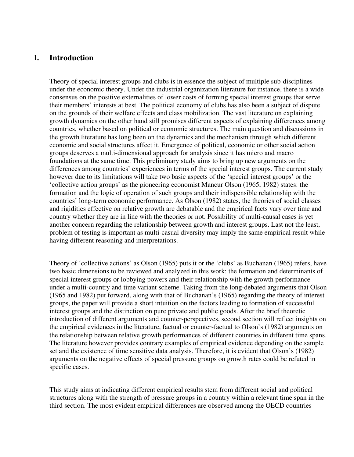# **I. Introduction**

Theory of special interest groups and clubs is in essence the subject of multiple sub-disciplines under the economic theory. Under the industrial organization literature for instance, there is a wide consensus on the positive externalities of lower costs of forming special interest groups that serve their members' interests at best. The political economy of clubs has also been a subject of dispute on the grounds of their welfare effects and class mobilization. The vast literature on explaining growth dynamics on the other hand still promises different aspects of explaining differences among countries, whether based on political or economic structures. The main question and discussions in the growth literature has long been on the dynamics and the mechanism through which different economic and social structures affect it. Emergence of political, economic or other social action groups deserves a multi-dimensional approach for analysis since it has micro and macro foundations at the same time. This preliminary study aims to bring up new arguments on the differences among countries' experiences in terms of the special interest groups. The current study however due to its limitations will take two basic aspects of the 'special interest groups' or the 'collective action groups' as the pioneering economist Mancur Olson (1965, 1982) states: the formation and the logic of operation of such groups and their indispensible relationship with the countries' long-term economic performance. As Olson (1982) states, the theories of social classes and rigidities effective on relative growth are debatable and the empirical facts vary over time and country whether they are in line with the theories or not. Possibility of multi-causal cases is yet another concern regarding the relationship between growth and interest groups. Last not the least, problem of testing is important as multi-casual diversity may imply the same empirical result while having different reasoning and interpretations.

Theory of 'collective actions' as Olson (1965) puts it or the 'clubs' as Buchanan (1965) refers, have two basic dimensions to be reviewed and analyzed in this work: the formation and determinants of special interest groups or lobbying powers and their relationship with the growth performance under a multi-country and time variant scheme. Taking from the long-debated arguments that Olson (1965 and 1982) put forward, along with that of Buchanan's (1965) regarding the theory of interest groups, the paper will provide a short intuition on the factors leading to formation of successful interest groups and the distinction on pure private and public goods. After the brief theoretic introduction of different arguments and counter-perspectives, second section will reflect insights on the empirical evidences in the literature, factual or counter-factual to Olson's (1982) arguments on the relationship between relative growth performances of different countries in different time spans. The literature however provides contrary examples of empirical evidence depending on the sample set and the existence of time sensitive data analysis. Therefore, it is evident that Olson's (1982) arguments on the negative effects of special pressure groups on growth rates could be refuted in specific cases.

This study aims at indicating different empirical results stem from different social and political structures along with the strength of pressure groups in a country within a relevant time span in the third section. The most evident empirical differences are observed among the OECD countries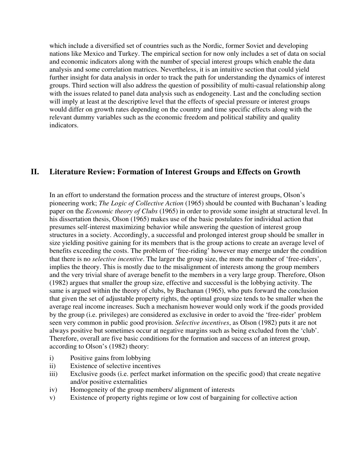which include a diversified set of countries such as the Nordic, former Soviet and developing nations like Mexico and Turkey. The empirical section for now only includes a set of data on social and economic indicators along with the number of special interest groups which enable the data analysis and some correlation matrices. Nevertheless, it is an intuitive section that could yield further insight for data analysis in order to track the path for understanding the dynamics of interest groups. Third section will also address the question of possibility of multi-casual relationship along with the issues related to panel data analysis such as endogeneity. Last and the concluding section will imply at least at the descriptive level that the effects of special pressure or interest groups would differ on growth rates depending on the country and time specific effects along with the relevant dummy variables such as the economic freedom and political stability and quality indicators.

# **II. Literature Review: Formation of Interest Groups and Effects on Growth**

In an effort to understand the formation process and the structure of interest groups, Olson's pioneering work; *The Logic of Collective Action* (1965) should be counted with Buchanan's leading paper on the *Economic theory of Clubs* (1965) in order to provide some insight at structural level. In his dissertation thesis, Olson (1965) makes use of the basic postulates for individual action that presumes self-interest maximizing behavior while answering the question of interest group structures in a society. Accordingly, a successful and prolonged interest group should be smaller in size yielding positive gaining for its members that is the group actions to create an average level of benefits exceeding the costs. The problem of 'free-riding' however may emerge under the condition that there is no *selective incentive*. The larger the group size, the more the number of 'free-riders', implies the theory. This is mostly due to the misalignment of interests among the group members and the very trivial share of average benefit to the members in a very large group. Therefore, Olson (1982) argues that smaller the group size, effective and successful is the lobbying activity. The same is argued within the theory of clubs, by Buchanan (1965), who puts forward the conclusion that given the set of adjustable property rights, the optimal group size tends to be smaller when the average real income increases. Such a mechanism however would only work if the goods provided by the group (i.e. privileges) are considered as exclusive in order to avoid the 'free-rider' problem seen very common in public good provision. *Selective incentives*, as Olson (1982) puts it are not always positive but sometimes occur at negative margins such as being excluded from the 'club'. Therefore, overall are five basic conditions for the formation and success of an interest group, according to Olson's (1982) theory:

- i) Positive gains from lobbying
- ii) Existence of selective incentives
- iii) Exclusive goods (i.e. perfect market information on the specific good) that create negative and/or positive externalities
- iv) Homogeneity of the group members/ alignment of interests
- v) Existence of property rights regime or low cost of bargaining for collective action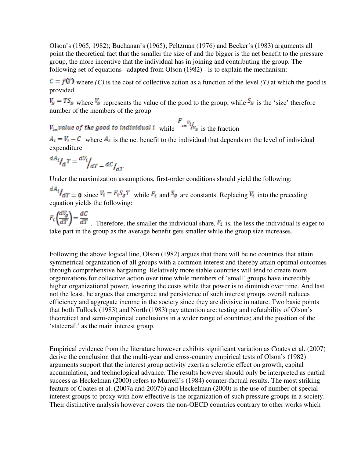Olson's (1965, 1982); Buchanan's (1965); Peltzman (1976) and Becker's (1983) arguments all point the theoretical fact that the smaller the size of and the bigger is the net benefit to the pressure group, the more incentive that the individual has in joining and contributing the group. The following set of equations –adapted from Olson (1982) - is to explain the mechanism:

 $\mathcal{C} = f(\mathcal{T})$  where *(C)* is the cost of collective action as a function of the level *(T)* at which the good is provided

 $\bar{v}_g = TS_g$  where  $\bar{v}_g$  represents the value of the good to the group; while  $S_g$  is the 'size' therefore number of the members of the group

 $V_{i}$  value of the good to individual i while  $V_{i} = V_{i} / V_{g}$  is the fraction

 $A_{\bar{i}} = V_{\bar{i}} - C$  where  $A_{\bar{i}}$  is the net benefit to the individual that depends on the level of individual expenditure

$$
^{dA_i}I_dT = {^{dV_i}}/_{dT} - {^{dC}I_{dT}}
$$

Under the maximization assumptions, first-order conditions should yield the following:

 $\frac{dA_i}{dT} = \mathbf{0}$  since  $V_i = F_i S_g T$  while  $F_i$  and  $S_g$  are constants. Replacing  $V_i$  into the preceding equation yields the following:

. Therefore, the smaller the individual share,  $\mathbf{F}_{\bar{x}}$  is, the less the individual is eager to take part in the group as the average benefit gets smaller while the group size increases.

Following the above logical line, Olson (1982) argues that there will be no countries that attain symmetrical organization of all groups with a common interest and thereby attain optimal outcomes through comprehensive bargaining. Relatively more stable countries will tend to create more organizations for collective action over time while members of 'small' groups have incredibly higher organizational power, lowering the costs while that power is to diminish over time. And last not the least, he argues that emergence and persistence of such interest groups overall reduces efficiency and aggregate income in the society since they are divisive in nature. Two basic points that both Tullock (1983) and North (1983) pay attention are: testing and refutability of Olson's theoretical and semi-empirical conclusions in a wider range of countries; and the position of the 'statecraft' as the main interest group.

Empirical evidence from the literature however exhibits significant variation as Coates et al. (2007) derive the conclusion that the multi-year and cross-country empirical tests of Olson's (1982) arguments support that the interest group activity exerts a sclerotic effect on growth, capital accumulation, and technological advance. The results however should only be interpreted as partial success as Heckelman (2000) refers to Murrell's (1984) counter-factual results. The most striking feature of Coates et al. (2007a and 2007b) and Heckelman (2000) is the use of number of special interest groups to proxy with how effective is the organization of such pressure groups in a society. Their distinctive analysis however covers the non-OECD countries contrary to other works which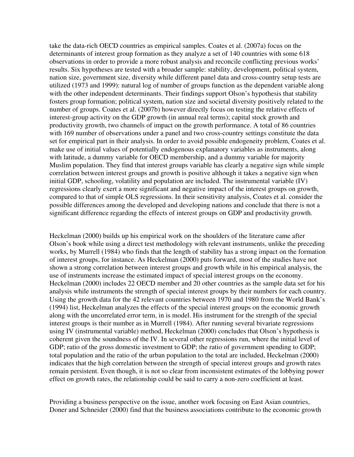take the data-rich OECD countries as empirical samples. Coates et al. (2007a) focus on the determinants of interest group formation as they analyze a set of 140 countries with some 618 observations in order to provide a more robust analysis and reconcile conflicting previous works' results. Six hypotheses are tested with a broader sample: stability, development, political system, nation size, government size, diversity while different panel data and cross-country setup tests are utilized (1973 and 1999): natural log of number of groups function as the dependent variable along with the other independent determinants. Their findings support Olson's hypothesis that stability fosters group formation; political system, nation size and societal diversity positively related to the number of groups. Coates et al. (2007b) however directly focus on testing the relative effects of interest-group activity on the GDP growth (in annual real terms); capital stock growth and productivity growth, two channels of impact on the growth performance. A total of 86 countries with 169 number of observations under a panel and two cross-country settings constitute the data set for empirical part in their analysis. In order to avoid possible endogeneity problem, Coates et al. make use of initial values of potentially endogenous explanatory variables as instruments, along with latitude, a dummy variable for OECD membership, and a dummy variable for majority Muslim population. They find that interest groups variable has clearly a negative sign while simple correlation between interest groups and growth is positive although it takes a negative sign when initial GDP, schooling, volatility and population are included. The instrumental variable (IV) regressions clearly exert a more significant and negative impact of the interest groups on growth, compared to that of simple OLS regressions. In their sensitivity analysis, Coates et al. consider the possible differences among the developed and developing nations and conclude that there is not a significant difference regarding the effects of interest groups on GDP and productivity growth.

Heckelman (2000) builds up his empirical work on the shoulders of the literature came after Olson's book while using a direct test methodology with relevant instruments, unlike the preceding works, by Murrell (1984) who finds that the length of stability has a strong impact on the formation of interest groups, for instance. As Heckelman (2000) puts forward, most of the studies have not shown a strong correlation between interest groups and growth while in his empirical analysis, the use of instruments increase the estimated impact of special interest groups on the economy. Heckelman (2000) includes 22 OECD member and 20 other countries as the sample data set for his analysis while instruments the strength of special interest groups by their numbers for each country. Using the growth data for the 42 relevant countries between 1970 and 1980 from the World Bank's (1994) list, Heckelman analyzes the effects of the special interest groups on the economic growth along with the uncorrelated error term, in is model. His instrument for the strength of the special interest groups is their number as in Murrell (1984). After running several bivariate regressions using IV (instrumental variable) method, Heckelman (2000) concludes that Olson's hypothesis is coherent given the soundness of the IV. In several other regressions run, where the initial level of GDP; ratio of the gross domestic investment to GDP; the ratio of government spending to GDP; total population and the ratio of the urban population to the total are included, Heckelman (2000) indicates that the high correlation between the strength of special interest groups and growth rates remain persistent. Even though, it is not so clear from inconsistent estimates of the lobbying power effect on growth rates, the relationship could be said to carry a non-zero coefficient at least.

Providing a business perspective on the issue, another work focusing on East Asian countries, Doner and Schneider (2000) find that the business associations contribute to the economic growth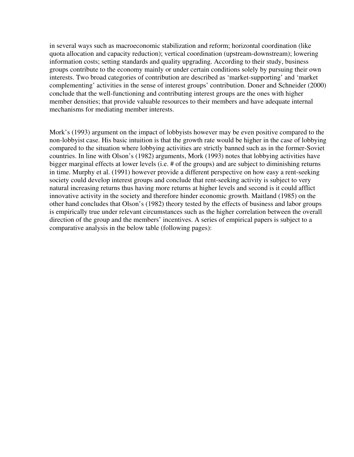in several ways such as macroeconomic stabilization and reform; horizontal coordination (like quota allocation and capacity reduction); vertical coordination (upstream-downstream); lowering information costs; setting standards and quality upgrading. According to their study, business groups contribute to the economy mainly or under certain conditions solely by pursuing their own interests. Two broad categories of contribution are described as 'market-supporting' and 'market complementing' activities in the sense of interest groups' contribution. Doner and Schneider (2000) conclude that the well-functioning and contributing interest groups are the ones with higher member densities; that provide valuable resources to their members and have adequate internal mechanisms for mediating member interests.

Mork's (1993) argument on the impact of lobbyists however may be even positive compared to the non-lobbyist case. His basic intuition is that the growth rate would be higher in the case of lobbying compared to the situation where lobbying activities are strictly banned such as in the former-Soviet countries. In line with Olson's (1982) arguments, Mork (1993) notes that lobbying activities have bigger marginal effects at lower levels (i.e. # of the groups) and are subject to diminishing returns in time. Murphy et al. (1991) however provide a different perspective on how easy a rent-seeking society could develop interest groups and conclude that rent-seeking activity is subject to very natural increasing returns thus having more returns at higher levels and second is it could afflict innovative activity in the society and therefore hinder economic growth. Maitland (1985) on the other hand concludes that Olson's (1982) theory tested by the effects of business and labor groups is empirically true under relevant circumstances such as the higher correlation between the overall direction of the group and the members' incentives. A series of empirical papers is subject to a comparative analysis in the below table (following pages):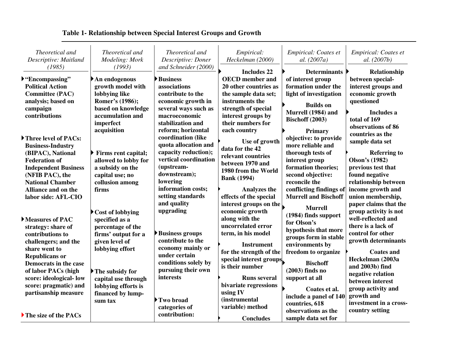| Theoretical and<br>Descriptive: Maitland<br>(1985)                                                                                                                                                | Theoretical and<br>Modeling: Mork<br>(1993)                                                                                                         | Theoretical and<br>Descriptive: Doner<br>and Schneider (2000)                                                                                                                     | Empirical:<br>Heckelman (2000)                                                                                                                                                     | Empirical: Coates et<br>al. (2007a)                                                                                                                                                  | Empirical: Coates et<br>al. (2007b)                                                                                                                                              |
|---------------------------------------------------------------------------------------------------------------------------------------------------------------------------------------------------|-----------------------------------------------------------------------------------------------------------------------------------------------------|-----------------------------------------------------------------------------------------------------------------------------------------------------------------------------------|------------------------------------------------------------------------------------------------------------------------------------------------------------------------------------|--------------------------------------------------------------------------------------------------------------------------------------------------------------------------------------|----------------------------------------------------------------------------------------------------------------------------------------------------------------------------------|
| $\triangleright$ "Encompassing"<br><b>Political Action</b><br><b>Committee (PAC)</b><br>analysis; based on<br>campaign<br>contributions                                                           | $\blacktriangleright$ An endogenous<br>growth model with<br>lobbying like<br>Romer's (1986);<br>based on knowledge<br>accumulation and<br>imperfect | <b>Business</b><br>associations<br>contribute to the<br>economic growth in<br>several ways such as<br>macroeconomic<br>stabilization and                                          | <b>Includes 22</b><br><b>OECD</b> member and<br>20 other countries as<br>the sample data set;<br>instruments the<br>strength of special<br>interest groups by<br>their numbers for | Determinants   <br>of interest group<br>formation under the<br>light of investigation<br><b>Builds on</b><br>Murrell (1984) and<br><b>Bischoff (2003)</b>                            | Relationship<br>between special-<br>interest groups and<br>economic growth<br>questioned<br>Includes a<br>total of 169<br>observations of 86                                     |
| Three level of PACs:<br><b>Business-Industry</b><br>(BIPAC), National<br><b>Federation of</b><br><b>Independent Business</b><br>(NFIB PAC), the<br><b>National Chamber</b><br>Alliance and on the | acquisition<br>$\triangleright$ Firms rent capital;<br>allowed to lobby for<br>a subsidy on the<br>capital use; no<br>collusion among<br>firms      | reform; horizontal<br>coordination (like<br>quota allocation and<br>capacity reduction);<br>vertical coordination<br>(upstream-<br>downstream);<br>lowering<br>information costs; | each country<br>Use of growth<br>data for the 42<br>relevant countries<br>between 1970 and<br>1980 from the World<br><b>Bank</b> (1994)<br><b>Analyzes the</b>                     | Primary<br>objective: to provide<br>more reliable and<br>thorough tests of<br>interest group<br>formation theories;<br>second objective:<br>reconcile the<br>conflicting findings of | countries as the<br>sample data set<br><b>Referring to</b><br><b>Olson's (1982)</b><br>previous test that<br>found negative<br>relationship between<br>income growth and         |
| labor side: AFL-CIO<br>Measures of PAC<br>strategy: share of<br>contributions to<br>challengers; and the<br>share went to                                                                         | $\blacktriangleright$ Cost of lobbying<br>specified as a<br>percentage of the<br>firms' output for a<br>given level of<br>lobbying effort           | setting standards<br>and quality<br>upgrading<br><b>Business groups</b><br>contribute to the<br>economy mainly or                                                                 | effects of the special<br>interest groups on the<br>economic growth<br>along with the<br>uncorrelated error<br>term, in his model<br><b>Instrument</b><br>for the strength of the  | <b>Murrell and Bischoff</b><br><b>Murrell</b><br>(1984) finds support<br>for Olson's<br>hypothesis that more<br>groups form in stable<br>environments by<br>freedom to organize      | union membership,<br>paper claims that the<br>group activity is not<br>well-reflected and<br>there is a lack of<br>control for other<br>growth determinants<br><b>Coates and</b> |
| <b>Republicans or</b><br>Democrats in the case<br>of labor PACs (high<br>score: ideological-low<br>score: pragmatic) and<br>partisanship measure                                                  | $\blacktriangleright$ The subsidy for<br>capital use through<br>lobbying efforts is<br>financed by lump-<br>sum tax                                 | under certain<br>conditions solely by<br>pursuing their own<br>interests<br>Two broad                                                                                             | special interest groups<br>is their number<br><b>Runs several</b><br>bivariate regressions<br>using IV<br><i>(instrumental)</i>                                                    | <b>Bischoff</b><br>$(2003)$ finds no<br>support at all<br>Coates et al.<br>include a panel of 140                                                                                    | Heckelman (2003a<br>and 2003b) find<br>negative relation<br>between interest<br>group activity and<br>growth and<br>investment in a cross-                                       |
| The size of the PACs                                                                                                                                                                              |                                                                                                                                                     | categories of<br>contribution:                                                                                                                                                    | variable) method<br><b>Concludes</b>                                                                                                                                               | countries, 618<br>observations as the<br>sample data set for                                                                                                                         | country setting                                                                                                                                                                  |

# **Table 1- Relationship between Special Interest Groups and Growth**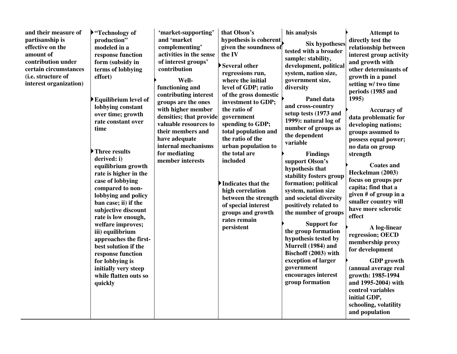| and their measure of<br>partisanship is<br>effective on the<br>amount of<br>contribution under<br>certain circumstances<br>(i.e. structure of<br>interest organization) | $\blacktriangleright$ "Technology of<br>production"<br>modeled in a<br>response function<br>form (subsidy in<br>terms of lobbying<br>effort)<br>$\blacktriangleright$ Equilibrium level of<br>lobbying constant<br>over time; growth<br>rate constant over<br>time<br>Three results<br>derived: i)<br>equilibrium growth<br>rate is higher in the<br>case of lobbying<br>compared to non-<br>lobbying and policy<br>ban case; ii) if the<br>subjective discount<br>rate is low enough,<br>welfare improves;<br>iii) equilibrium<br>approaches the first-<br>best solution if the<br>response function<br>for lobbying is<br>initially very steep<br>while flatten outs so<br>quickly | 'market-supporting'<br>and 'market<br>complementing'<br>activities in the sense<br>of interest groups'<br>contribution<br>Well-<br>functioning and<br>contributing interest<br>groups are the ones<br>with higher member<br>densities; that provide<br>valuable resources to<br>their members and<br>have adequate<br>internal mechanisms<br>for mediating<br>member interests | that Olson's<br>hypothesis is coherent<br>given the soundness of<br>the IV<br>Several other<br>regressions run,<br>where the initial<br>level of GDP; ratio<br>of the gross domestic<br>investment to GDP;<br>the ratio of<br>government<br>spending to GDP;<br>total population and<br>the ratio of the<br>urban population to<br>the total are<br>included<br>Indicates that the<br>high correlation<br>between the strength<br>of special interest<br>groups and growth<br>rates remain<br>persistent | his analysis<br><b>Six hypotheses</b><br>tested with a broader<br>sample: stability,<br>development, political<br>system, nation size,<br>government size,<br>diversity<br>Panel data<br>and cross-country<br>setup tests (1973 and<br>1999): natural log of<br>number of groups as<br>the dependent<br>variable<br><b>Findings</b><br>support Olson's<br>hypothesis that<br>stability fosters group<br>formation; political<br>system, nation size<br>and societal diversity<br>positively related to<br>the number of groups<br><b>Support for</b><br>the group formation<br>hypothesis tested by<br>Murrell (1984) and<br>Bischoff (2003) with<br>exception of larger<br>government<br>encourages interest<br>group formation | <b>Attempt to</b><br>directly test the<br>relationship between<br>interest group activity<br>and growth with<br>other determinants of<br>growth in a panel<br>setting w/ two time<br>periods (1985 and<br>1995)<br><b>Accuracy of</b><br>data problematic for<br>developing nations;<br>groups assumed to<br>possess equal power;<br>no data on group<br>strength<br><b>Coates and</b><br>Heckelman (2003)<br>focus on groups per<br>capita; find that a<br>given # of group in a<br>smaller country will<br>have more sclerotic<br>effect<br>A log-linear<br>regression; OECD<br>membership proxy<br>for development<br><b>GDP</b> growth<br>(annual average real<br>growth: 1985-1994<br>and 1995-2004) with<br>control variables<br>initial GDP,<br>schooling, volatility<br>and population |
|-------------------------------------------------------------------------------------------------------------------------------------------------------------------------|--------------------------------------------------------------------------------------------------------------------------------------------------------------------------------------------------------------------------------------------------------------------------------------------------------------------------------------------------------------------------------------------------------------------------------------------------------------------------------------------------------------------------------------------------------------------------------------------------------------------------------------------------------------------------------------|--------------------------------------------------------------------------------------------------------------------------------------------------------------------------------------------------------------------------------------------------------------------------------------------------------------------------------------------------------------------------------|----------------------------------------------------------------------------------------------------------------------------------------------------------------------------------------------------------------------------------------------------------------------------------------------------------------------------------------------------------------------------------------------------------------------------------------------------------------------------------------------------------|----------------------------------------------------------------------------------------------------------------------------------------------------------------------------------------------------------------------------------------------------------------------------------------------------------------------------------------------------------------------------------------------------------------------------------------------------------------------------------------------------------------------------------------------------------------------------------------------------------------------------------------------------------------------------------------------------------------------------------|------------------------------------------------------------------------------------------------------------------------------------------------------------------------------------------------------------------------------------------------------------------------------------------------------------------------------------------------------------------------------------------------------------------------------------------------------------------------------------------------------------------------------------------------------------------------------------------------------------------------------------------------------------------------------------------------------------------------------------------------------------------------------------------------|
|-------------------------------------------------------------------------------------------------------------------------------------------------------------------------|--------------------------------------------------------------------------------------------------------------------------------------------------------------------------------------------------------------------------------------------------------------------------------------------------------------------------------------------------------------------------------------------------------------------------------------------------------------------------------------------------------------------------------------------------------------------------------------------------------------------------------------------------------------------------------------|--------------------------------------------------------------------------------------------------------------------------------------------------------------------------------------------------------------------------------------------------------------------------------------------------------------------------------------------------------------------------------|----------------------------------------------------------------------------------------------------------------------------------------------------------------------------------------------------------------------------------------------------------------------------------------------------------------------------------------------------------------------------------------------------------------------------------------------------------------------------------------------------------|----------------------------------------------------------------------------------------------------------------------------------------------------------------------------------------------------------------------------------------------------------------------------------------------------------------------------------------------------------------------------------------------------------------------------------------------------------------------------------------------------------------------------------------------------------------------------------------------------------------------------------------------------------------------------------------------------------------------------------|------------------------------------------------------------------------------------------------------------------------------------------------------------------------------------------------------------------------------------------------------------------------------------------------------------------------------------------------------------------------------------------------------------------------------------------------------------------------------------------------------------------------------------------------------------------------------------------------------------------------------------------------------------------------------------------------------------------------------------------------------------------------------------------------|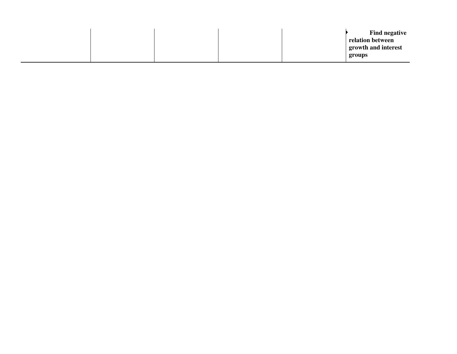|  |  | <b>Find negative</b><br>relation between<br>growth and interest<br>groups |
|--|--|---------------------------------------------------------------------------|
|  |  |                                                                           |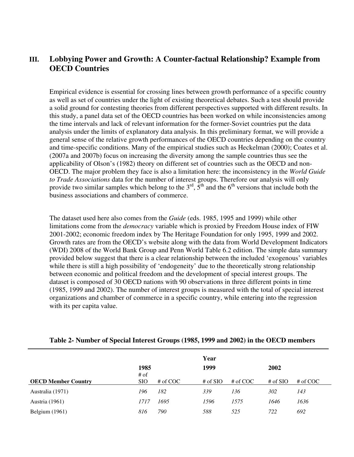# **III. Lobbying Power and Growth: A Counter-factual Relationship? Example from OECD Countries**

Empirical evidence is essential for crossing lines between growth performance of a specific country as well as set of countries under the light of existing theoretical debates. Such a test should provide a solid ground for contesting theories from different perspectives supported with different results. In this study, a panel data set of the OECD countries has been worked on while inconsistencies among the time intervals and lack of relevant information for the former-Soviet countries put the data analysis under the limits of explanatory data analysis. In this preliminary format, we will provide a general sense of the relative growth performances of the OECD countries depending on the country and time-specific conditions. Many of the empirical studies such as Heckelman (2000); Coates et al. (2007a and 2007b) focus on increasing the diversity among the sample countries thus see the applicability of Olson's (1982) theory on different set of countries such as the OECD and non-OECD. The major problem they face is also a limitation here: the inconsistency in the *World Guide to Trade Associations* data for the number of interest groups. Therefore our analysis will only provide two similar samples which belong to the  $3<sup>rd</sup>$ ,  $5<sup>th</sup>$  and the 6<sup>th</sup> versions that include both the business associations and chambers of commerce.

The dataset used here also comes from the *Guide* (eds. 1985, 1995 and 1999) while other limitations come from the *democracy* variable which is proxied by Freedom House index of FIW 2001-2002; economic freedom index by The Heritage Foundation for only 1995, 1999 and 2002. Growth rates are from the OECD's website along with the data from World Development Indicators (WDI) 2008 of the World Bank Group and Penn World Table 6.2 edition. The simple data summary provided below suggest that there is a clear relationship between the included 'exogenous' variables while there is still a high possibility of 'endogeneity' due to the theoretically strong relationship between economic and political freedom and the development of special interest groups. The dataset is composed of 30 OECD nations with 90 observations in three different points in time (1985, 1999 and 2002). The number of interest groups is measured with the total of special interest organizations and chamber of commerce in a specific country, while entering into the regression with its per capita value.

|                            |                      |            | Year       |            |             |            |
|----------------------------|----------------------|------------|------------|------------|-------------|------------|
|                            | 1985                 |            | 1999       |            | <b>2002</b> |            |
| <b>OECD Member Country</b> | $#$ of<br><b>SIO</b> | # of $COC$ | $#$ of SIO | # of $COC$ | $#$ of SIO  | # of $COC$ |
| Australia (1971)           | 196                  | 182        | 339        | 136        | 302         | 143        |
| Austria (1961)             | 1717                 | 1695       | 1596       | 1575       | 1646        | 1636       |
| Belgium (1961)             | 816                  | 790        | 588        | 525        | 722         | 692        |

#### **Table 2- Number of Special Interest Groups (1985, 1999 and 2002) in the OECD members**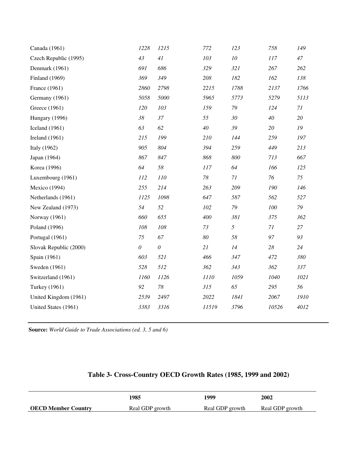| Canada (1961)          | 1228     | 1215                  | 772    | 123        | 758      | 149  |
|------------------------|----------|-----------------------|--------|------------|----------|------|
| Czech Republic (1995)  | 43       | 41                    | 103    | ${\it 10}$ | 117      | 47   |
| Denmark (1961)         | 691      | 686                   | 329    | 321        | 267      | 262  |
| Finland (1969)         | 369      | 349                   | 208    | 182        | 162      | 138  |
| France (1961)          | 2860     | 2798                  | 2215   | 1788       | 2137     | 1766 |
| Germany (1961)         | 5058     | 5000                  | 5965   | 5773       | 5279     | 5113 |
| Greece (1961)          | 120      | 103                   | 159    | 79         | 124      | 71   |
| Hungary (1996)         | $38\,$   | 37                    | 55     | 30         | 40       | 20   |
| Iceland $(1961)$       | 63       | 62                    | 40     | 39         | 20       | 19   |
| Ireland $(1961)$       | 215      | 199                   | 210    | 144        | 259      | 197  |
| Italy (1962)           | 905      | 804                   | 394    | 259        | 449      | 213  |
| Japan (1964)           | 867      | 847                   | 868    | 800        | 713      | 667  |
| Korea (1996)           | 64       | 58                    | 117    | 64         | 166      | 125  |
| Luxembourg (1961)      | 112      | 110                   | $78\,$ | 71         | 76       | 75   |
| Mexico (1994)          | 255      | 214                   | 263    | 209        | 190      | 146  |
| Netherlands (1961)     | 1125     | 1098                  | 647    | 587        | 562      | 527  |
| New Zealand (1973)     | 54       | 52                    | 102    | $79\,$     | 100      | 79   |
| Norway (1961)          | 660      | 655                   | 400    | 381        | 375      | 362  |
| Poland (1996)          | 108      | 108                   | 73     | 5          | $7 \\ l$ | 27   |
| Portugal (1961)        | 75       | 67                    | $80\,$ | 58         | 97       | 93   |
| Slovak Republic (2000) | $\theta$ | $\boldsymbol{\theta}$ | 21     | 14         | 28       | 24   |
| Spain (1961)           | 603      | 521                   | 466    | 347        | 472      | 380  |
| Sweden (1961)          | 528      | 512                   | 362    | 343        | 362      | 337  |
| Switzerland (1961)     | 1160     | 1126                  | 1110   | 1059       | 1040     | 1021 |
| Turkey (1961)          | 92       | 78                    | 315    | 65         | 295      | 56   |
| United Kingdom (1961)  | 2539     | 2497                  | 2022   | 1841       | 2067     | 1910 |
| United States (1961)   | 3383     | 3316                  | 11519  | 3796       | 10526    | 4012 |
|                        |          |                       |        |            |          |      |

**Source:** *World Guide to Trade Associations (ed. 3, 5 and 6)*

|                            | 1985            | 1999            | <b>2002</b>     |
|----------------------------|-----------------|-----------------|-----------------|
| <b>OECD Member Country</b> | Real GDP growth | Real GDP growth | Real GDP growth |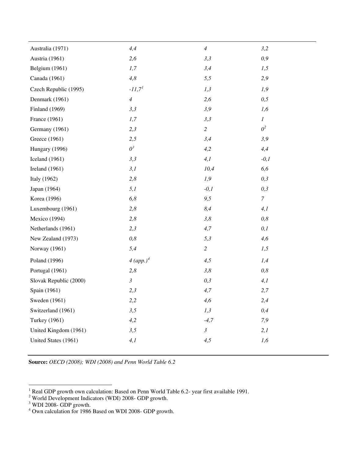| Australia (1971)       | 4,4                   | $\overline{4}$ | 3,2              |
|------------------------|-----------------------|----------------|------------------|
| Austria (1961)         | 2,6                   | 3,3            | 0,9              |
| Belgium (1961)         | 1,7                   | 3,4            | 1,5              |
| Canada (1961)          | 4,8                   | 5,5            | 2,9              |
| Czech Republic (1995)  | $-11,7^{1}$           | 1,3            | 1,9              |
| Denmark (1961)         | $\overline{4}$        | 2,6            | 0,5              |
| Finland (1969)         | 3,3                   | 3,9            | 1,6              |
| France (1961)          | 1,7                   | 3,3            | $\boldsymbol{l}$ |
| Germany (1961)         | 2,3                   | $\overline{c}$ | 0 <sup>2</sup>   |
| Greece (1961)          | 2,5                   | 3,4            | 3,9              |
| Hungary (1996)         | $0^3$                 | 4,2            | 4,4              |
| Iceland (1961)         | 3,3                   | 4,1            | $-0,1$           |
| Ireland $(1961)$       | 3,1                   | 10,4           | 6,6              |
| Italy (1962)           | 2,8                   | 1,9            | 0,3              |
| Japan (1964)           | 5,1                   | $-0,1$         | 0,3              |
| Korea (1996)           | 6,8                   | 9,5            | $\boldsymbol{7}$ |
| Luxembourg (1961)      | 2,8                   | 8,4            | 4,1              |
| Mexico (1994)          | 2,8                   | 3,8            | 0,8              |
| Netherlands (1961)     | 2,3                   | 4,7            | 0,1              |
| New Zealand (1973)     | 0,8                   | 5,3            | 4,6              |
| Norway (1961)          | 5,4                   | $\overline{c}$ | 1,5              |
| Poland (1996)          | 4 (app.) <sup>4</sup> | 4,5            | 1,4              |
| Portugal (1961)        | 2,8                   | 3,8            | 0,8              |
| Slovak Republic (2000) | $\mathfrak{Z}$        | 0,3            | 4,1              |
| Spain (1961)           | 2,3                   | 4,7            | 2,7              |
| Sweden (1961)          | 2,2                   | 4,6            | 2,4              |
| Switzerland (1961)     | 3,5                   | 1,3            | 0,4              |
| <b>Turkey</b> (1961)   | 4,2                   | $-4,7$         | 7,9              |
| United Kingdom (1961)  | 3,5                   | $\mathfrak{Z}$ | 2,1              |
| United States (1961)   | 4,1                   | 4,5            | 1,6              |

**Source:** *OECD (2008); WDI (2008) and Penn World Table 6.2*

 $\overline{a}$ 

<span id="page-13-0"></span><sup>&</sup>lt;sup>1</sup> Real GDP growth own calculation: Based on Penn World Table 6.2- year first available 1991.

<span id="page-13-1"></span><sup>&</sup>lt;sup>2</sup> World Development Indicators (WDI) 2008- GDP growth.

<span id="page-13-2"></span> $3$  WDI 2008- GDP growth.

<span id="page-13-3"></span><sup>&</sup>lt;sup>4</sup> Own calculation for 1986 Based on WDI 2008- GDP growth.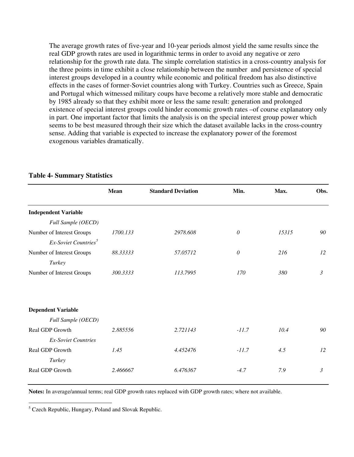The average growth rates of five-year and 10-year periods almost yield the same results since the real GDP growth rates are used in logarithmic terms in order to avoid any negative or zero relationship for the growth rate data. The simple correlation statistics in a cross-country analysis for the three points in time exhibit a close relationship between the number and persistence of special interest groups developed in a country while economic and political freedom has also distinctive effects in the cases of former-Soviet countries along with Turkey. Countries such as Greece, Spain and Portugal which witnessed military coups have become a relatively more stable and democratic by 1985 already so that they exhibit more or less the same result: generation and prolonged existence of special interest groups could hinder economic growth rates –of course explanatory only in part. One important factor that limits the analysis is on the special interest group power which seems to be best measured through their size which the dataset available lacks in the cross-country sense. Adding that variable is expected to increase the explanatory power of the foremost exogenous variables dramatically.

|                                  | Mean     | <b>Standard Deviation</b> | Min.     | Max.  | Obs.           |
|----------------------------------|----------|---------------------------|----------|-------|----------------|
| <b>Independent Variable</b>      |          |                           |          |       |                |
| Full Sample (OECD)               |          |                           |          |       |                |
| Number of Interest Groups        | 1700.133 | 2978.608                  | $\theta$ | 15315 | 90             |
| Ex-Soviet Countries <sup>5</sup> |          |                           |          |       |                |
| Number of Interest Groups        | 88.33333 | 57.05712                  | $\theta$ | 216   | 12             |
| Turkey                           |          |                           |          |       |                |
| Number of Interest Groups        | 300.3333 | 113.7995                  | 170      | 380   | $\mathfrak{Z}$ |
|                                  |          |                           |          |       |                |
| <b>Dependent Variable</b>        |          |                           |          |       |                |
| Full Sample (OECD)               |          |                           |          |       |                |
| Real GDP Growth                  | 2.885556 | 2.721143                  | $-11.7$  | 10.4  | 90             |
| <b>Ex-Soviet Countries</b>       |          |                           |          |       |                |
| Real GDP Growth                  | 1.45     | 4.452476                  | $-11.7$  | 4.5   | 12             |
| Turkey                           |          |                           |          |       |                |
| Real GDP Growth                  | 2.466667 | 6.476367                  | $-4.7$   | 7.9   | $\mathfrak{Z}$ |

#### **Table 4- Summary Statistics**

**Notes:** In average/annual terms; real GDP growth rates replaced with GDP growth rates; where not available.

 $\overline{a}$ 

<span id="page-14-0"></span><sup>&</sup>lt;sup>5</sup> Czech Republic, Hungary, Poland and Slovak Republic.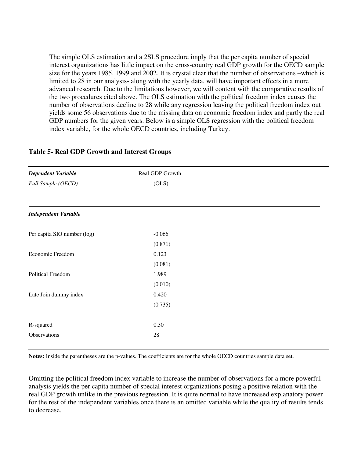The simple OLS estimation and a 2SLS procedure imply that the per capita number of special interest organizations has little impact on the cross-country real GDP growth for the OECD sample size for the years 1985, 1999 and 2002. It is crystal clear that the number of observations –which is limited to 28 in our analysis- along with the yearly data, will have important effects in a more advanced research. Due to the limitations however, we will content with the comparative results of the two procedures cited above. The OLS estimation with the political freedom index causes the number of observations decline to 28 while any regression leaving the political freedom index out yields some 56 observations due to the missing data on economic freedom index and partly the real GDP numbers for the given years. Below is a simple OLS regression with the political freedom index variable, for the whole OECD countries, including Turkey.

| <b>Dependent Variable</b>   | Real GDP Growth |  |
|-----------------------------|-----------------|--|
| Full Sample (OECD)          | (OLS)           |  |
|                             |                 |  |
| <b>Independent Variable</b> |                 |  |
| Per capita SIO number (log) | $-0.066$        |  |
|                             | (0.871)         |  |
| Economic Freedom            | 0.123           |  |
|                             | (0.081)         |  |
| Political Freedom           | 1.989           |  |
|                             | (0.010)         |  |
| Late Join dummy index       | 0.420           |  |
|                             | (0.735)         |  |
|                             |                 |  |
| R-squared                   | 0.30            |  |
| Observations                | 28              |  |

### **Table 5- Real GDP Growth and Interest Groups**

**Notes:** Inside the parentheses are the p-values. The coefficients are for the whole OECD countries sample data set.

Omitting the political freedom index variable to increase the number of observations for a more powerful analysis yields the per capita number of special interest organizations posing a positive relation with the real GDP growth unlike in the previous regression. It is quite normal to have increased explanatory power for the rest of the independent variables once there is an omitted variable while the quality of results tends to decrease.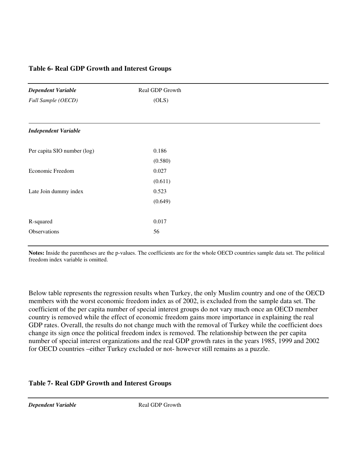## **Table 6- Real GDP Growth and Interest Groups**

| <b>Dependent Variable</b>   | Real GDP Growth |
|-----------------------------|-----------------|
| Full Sample (OECD)          | (OLS)           |
|                             |                 |
| <b>Independent Variable</b> |                 |
| Per capita SIO number (log) | 0.186           |
|                             | (0.580)         |
| Economic Freedom            | 0.027           |
|                             | (0.611)         |
| Late Join dummy index       | 0.523           |
|                             | (0.649)         |
| R-squared                   | 0.017           |
| Observations                | 56              |

**Notes:** Inside the parentheses are the p-values. The coefficients are for the whole OECD countries sample data set. The political freedom index variable is omitted.

Below table represents the regression results when Turkey, the only Muslim country and one of the OECD members with the worst economic freedom index as of 2002, is excluded from the sample data set. The coefficient of the per capita number of special interest groups do not vary much once an OECD member country is removed while the effect of economic freedom gains more importance in explaining the real GDP rates. Overall, the results do not change much with the removal of Turkey while the coefficient does change its sign once the political freedom index is removed. The relationship between the per capita number of special interest organizations and the real GDP growth rates in the years 1985, 1999 and 2002 for OECD countries –either Turkey excluded or not- however still remains as a puzzle.

## **Table 7- Real GDP Growth and Interest Groups**

*Dependent Variable* Real GDP Growth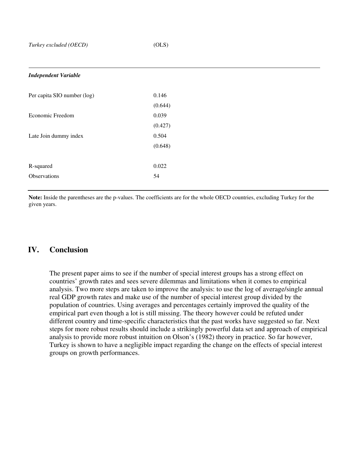$\overline{\phantom{a}}$ 

| <b>Independent Variable</b> |         |
|-----------------------------|---------|
| Per capita SIO number (log) | 0.146   |
|                             | (0.644) |
| Economic Freedom            | 0.039   |
|                             | (0.427) |
| Late Join dummy index       | 0.504   |
|                             | (0.648) |
|                             |         |
| R-squared                   | 0.022   |
| Observations                | 54      |
|                             |         |

**Note:** Inside the parentheses are the p-values. The coefficients are for the whole OECD countries, excluding Turkey for the given years.

## **IV. Conclusion**

The present paper aims to see if the number of special interest groups has a strong effect on countries' growth rates and sees severe dilemmas and limitations when it comes to empirical analysis. Two more steps are taken to improve the analysis: to use the log of average/single annual real GDP growth rates and make use of the number of special interest group divided by the population of countries. Using averages and percentages certainly improved the quality of the empirical part even though a lot is still missing. The theory however could be refuted under different country and time-specific characteristics that the past works have suggested so far. Next steps for more robust results should include a strikingly powerful data set and approach of empirical analysis to provide more robust intuition on Olson's (1982) theory in practice. So far however, Turkey is shown to have a negligible impact regarding the change on the effects of special interest groups on growth performances.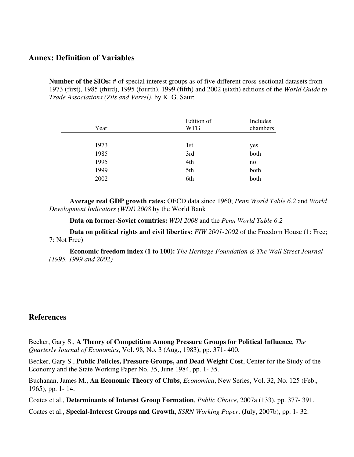## **Annex: Definition of Variables**

**Number of the SIOs:** # of special interest groups as of five different cross-sectional datasets from 1973 (first), 1985 (third), 1995 (fourth), 1999 (fifth) and 2002 (sixth) editions of the *World Guide to Trade Associations (Zils and Verrel)*, by K. G. Saur:

| Year | Edition of<br><b>WTG</b> | Includes<br>chambers |
|------|--------------------------|----------------------|
|      |                          |                      |
| 1973 | 1 <sub>st</sub>          | yes                  |
| 1985 | 3rd                      | both                 |
| 1995 | 4th                      | no                   |
| 1999 | 5th                      | both                 |
| 2002 | 6th                      | both                 |
|      |                          |                      |

**Average real GDP growth rates:** OECD data since 1960; *Penn World Table 6.2* and *World Development Indicators (WDI) 2008* by the World Bank

**Data on former-Soviet countries:** *WDI 2008* and the *Penn World Table 6.2*

**Data on political rights and civil liberties:** *FIW 2001-2002* of the Freedom House (1: Free; 7: Not Free)

**Economic freedom index (1 to 100):** *The Heritage Foundation & The Wall Street Journal (1995, 1999 and 2002)* 

## **References**

Becker, Gary S., **A Theory of Competition Among Pressure Groups for Political Influence**, *The Quarterly Journal of Economics*, Vol. 98, No. 3 (Aug., 1983), pp. 371- 400.

Becker, Gary S., **Public Policies, Pressure Groups, and Dead Weight Cost**, Center for the Study of the Economy and the State Working Paper No. 35, June 1984, pp. 1- 35.

Buchanan, James M., **An Economic Theory of Clubs**, *Economica*, New Series, Vol. 32, No. 125 (Feb., 1965), pp. 1- 14.

Coates et al., **Determinants of Interest Group Formation**, *Public Choice*, 2007a (133), pp. 377- 391.

Coates et al., **Special-Interest Groups and Growth**, *SSRN Working Paper*, (July, 2007b), pp. 1- 32.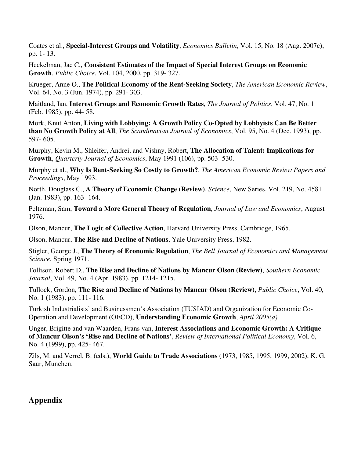Coates et al., **Special-Interest Groups and Volatility**, *Economics Bulletin*, Vol. 15, No. 18 (Aug. 2007c), pp. 1- 13.

Heckelman, Jac C., **Consistent Estimates of the Impact of Special Interest Groups on Economic Growth**, *Public Choice*, Vol. 104, 2000, pp. 319- 327.

Krueger, Anne O., **The Political Economy of the Rent-Seeking Society**, *The American Economic Review*, Vol. 64, No. 3 (Jun. 1974), pp. 291- 303.

Maitland, Ian, **Interest Groups and Economic Growth Rates**, *The Journal of Politics*, Vol. 47, No. 1 (Feb. 1985), pp. 44- 58.

Mork, Knut Anton, **Living with Lobbying: A Growth Policy Co-Opted by Lobbyists Can Be Better than No Growth Policy at All**, *The Scandinavian Journal of Economics*, Vol. 95, No. 4 (Dec. 1993), pp. 597- 605.

Murphy, Kevin M., Shleifer, Andrei, and Vishny, Robert, **The Allocation of Talent: Implications for Growth**, *Quarterly Journal of Economics*, May 1991 (106), pp. 503- 530.

Murphy et al., **Why Is Rent-Seeking So Costly to Growth?**, *The American Economic Review Papers and Proceedings*, May 1993.

North, Douglass C., **A Theory of Economic Change (Review)**, *Science*, New Series, Vol. 219, No. 4581 (Jan. 1983), pp. 163- 164.

Peltzman, Sam, **Toward a More General Theory of Regulation**, *Journal of Law and Economics*, August 1976.

Olson, Mancur, **The Logic of Collective Action**, Harvard University Press, Cambridge, 1965.

Olson, Mancur, **The Rise and Decline of Nations**, Yale University Press, 1982.

Stigler, George J., **The Theory of Economic Regulation**, *The Bell Journal of Economics and Management Science*, Spring 1971.

Tollison, Robert D., **The Rise and Decline of Nations by Mancur Olson (Review)**, *Southern Economic Journal*, Vol. 49, No. 4 (Apr. 1983), pp. 1214- 1215.

Tullock, Gordon, **The Rise and Decline of Nations by Mancur Olson (Review)**, *Public Choice*, Vol. 40, No. 1 (1983), pp. 111- 116.

Turkish Industrialists' and Businessmen's Association (TUSIAD) and Organization for Economic Co-Operation and Development (OECD), **Understanding Economic Growth**, *April 2005(a)*.

Unger, Brigitte and van Waarden, Frans van, **Interest Associations and Economic Growth: A Critique of Mancur Olson's 'Rise and Decline of Nations'**, *Review of International Political Economy*, Vol. 6, No. 4 (1999), pp. 425- 467.

Zils, M. and Verrel, B. (eds.), **World Guide to Trade Associations** (1973, 1985, 1995, 1999, 2002), K. G. Saur, München.

## **Appendix**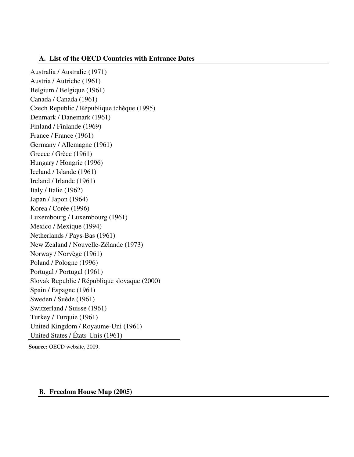## **A. List of the OECD Countries with Entrance Dates**

Australia / Australie (1971) Austria / Autriche (1961) Belgium / Belgique (1961) Canada / Canada (1961) Czech Republic / République tchèque (1995) Denmark / Danemark (1961) Finland / Finlande (1969) France / France (1961) Germany / Allemagne (1961) Greece / Grèce (1961) Hungary / Hongrie (1996) Iceland / Islande (1961) Ireland / Irlande (1961) Italy / Italie (1962) Japan / Japon (1964) Korea / Corée (1996) Luxembourg / Luxembourg (1961) Mexico / Mexique (1994) Netherlands / Pays-Bas (1961) New Zealand / Nouvelle-Zélande (1973) Norway / Norvège (1961) Poland / Pologne (1996) Portugal / Portugal (1961) Slovak Republic / République slovaque (2000) Spain / Espagne (1961) Sweden / Suède (1961) Switzerland / Suisse (1961) Turkey / Turquie (1961) United Kingdom / Royaume-Uni (1961) United States / États-Unis (1961)

**Source:** OECD website, 2009.

### **B. Freedom House Map (2005)**